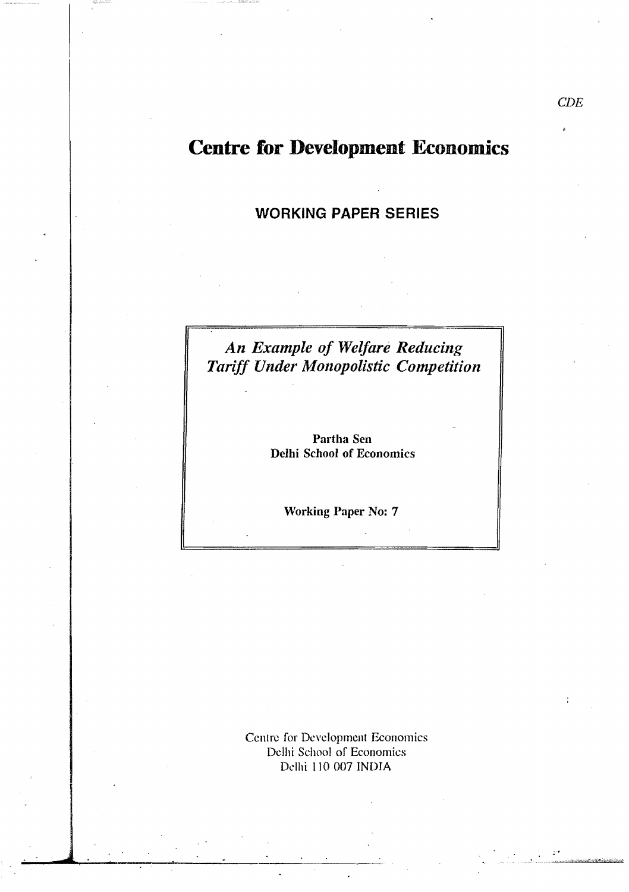# **Centre for Development Economics**

## **WORKING PAPER SERIES**

## *An Example of Welfare Reducing Tariff Under Monopolistic Competition*

Partha Sen Delhi Schoof of Economics

Working Paper No: 7

Centre for Development Economics Delhi School of Economics Delhi 110 007 INDIA

.

. '., *'",.>.:J.;r-* -Jr.-.k,,->-;"...:0~'<ii>·>cL\$';'i<:"'4p~'iJ!id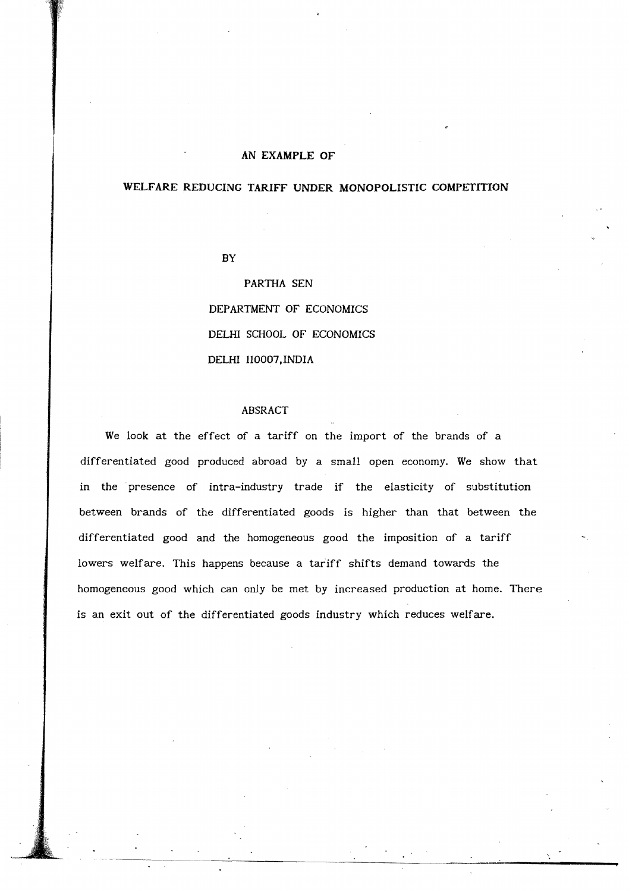#### **AN EXAMPLE OF**

#### **WELFARE REDUCING TARIFF UNDER MONOPOLISTIC COMPETITION**

BY

PARTHA SEN DEPARTMENT **OF** ECONOMICS DELHI SCHOOL OF ECONOMICS DELHI Il0007.INDIA

#### ABSRACT

We look at the effect of a tariff on the import of the brands of a differentiated good produced abroad by a small open economy. We show that in the presence of intra-industry trade if the elasticity of substitution between brands of the differentiated goods is higher than that between the differentiated good and the homogeneous good the imposition of a tariff lowers welfare. This happens because a tariff shifts demand towards the homogeneous good which can only be met by increased production at home. There is an exit out of the differentiated goods industry which reduces welfare.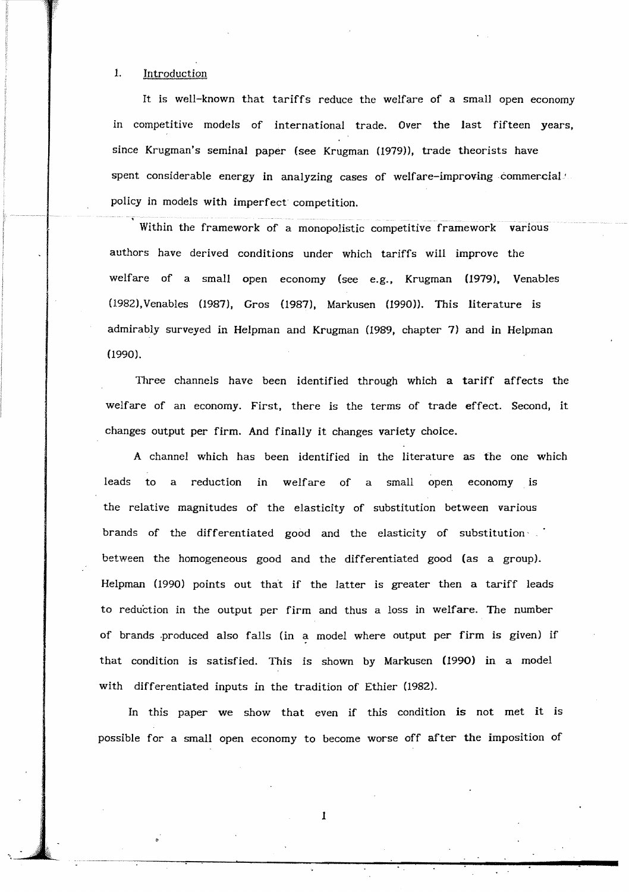#### 1. Introduction

It is well-known that tariffs reduce the welfare of a small open economy in competitive models of international trade. Over the last fifteen years, since Krugman's seminal paper (see Krugman (1979)), trade theorists have spent considerable energy in analyzing cases of welfare-improving commercial.<sup>1</sup> policy in models with imperfect competition.

Within the framework of a monopolistic competitive framework various authors have derived conditions under which tariffs will improve the welfare of a small open economy (see e.g., Krugman (1979), Venables (1982),Venables (1987), Gros (1987), Markusen (1990». This literature is admirably surveyed in Helpman and Krugman (1989, chapter 7) and in Helpman (1990).

Three channels have been identified through which a tariff affects the welfare of an economy. First, there is the terms of trade effect. Second, it changes output per firm. And finally it changes variety choice.

A channel which has been identified in the literature as the one which leads to a reduction in welfare of a small open economy is the relative magnitudes of the elasticity of substitution between various brands of the differentiated good and the elasticity of substitution' between the homogeneous good and the differentiated good (as a group). Helpman (1990) points out that if the latter is greater then a tariff leads to reduction in the output per firm and thus a loss in welfare. The number of brands .produced also falls (in a model where output per firm is given) if that condition is satisfied. This is shown by Markusen (1990) in a model with differentiated inputs in the tradition of Ethier (1982).

In this paper we show that even if this condition is not met it is possible for a small open economy to become worse off after the imposition of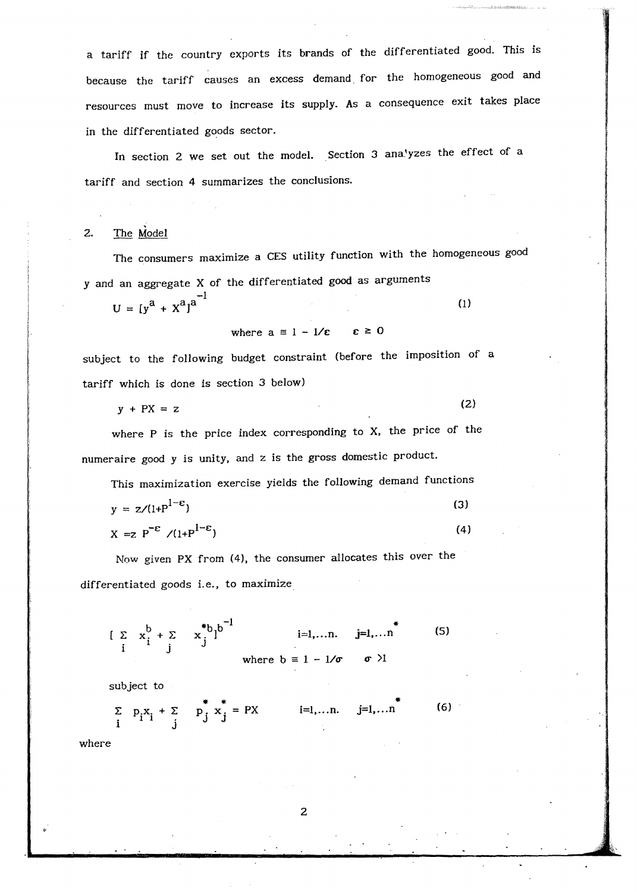a tariff if the country exports its brands of the differentiated good. This is because the tariff causes an excess demand for the homogeneous good and resources must move to increase its supply. As a consequence exit takes place in the differentiated goods sector.

In section 2 we set out the model. Section 3 analyzes the effect of a tariff and section 4 summarizes the conclusions.

#### 2. The Model

The consumers maximize a CES utility function with the homogeneous good y and an aggregate X of the differentiated good as arguments

 $U = [y^a + x^a]^a$ <sup>-1</sup> (1)

where 
$$
a \equiv 1 - 1/\epsilon
$$
  $\epsilon \ge 0$ 

subject to the following budget constraint (before the imposition of a tariff which is done is section 3 below)

$$
y + PX = z \tag{2}
$$

where P is the price index corresponding to X. the price of the numeraire good y is unity, and z is the gross domestic product.

This maximization exercise yields the following demand functions

$$
y = z/(1+P^{1-\epsilon})
$$
\n
$$
X = Z \tP^{-\epsilon} / (1+P^{1-\epsilon})
$$
\n(3)

Now given PX from (4), the consumer allocates this over the differentiated goods i.e., to maximize

$$
\begin{array}{lll}\n\left[\begin{array}{cc} \Sigma & x_1^b + \Sigma & x_1^{\ast}b_1b^{-1} & \text{i=1,...n.} \\ \text{i} & \text{j} & \text{where } b = 1 - 1/\sigma & \sigma \end{array}\right]^{*} \tag{5} \n\end{array}
$$

subject to

 $\sum_{i} p_i x_i + \sum_{j} p_j^* x_j^* = PX$  i=1,...n. j=1,...n (6)

where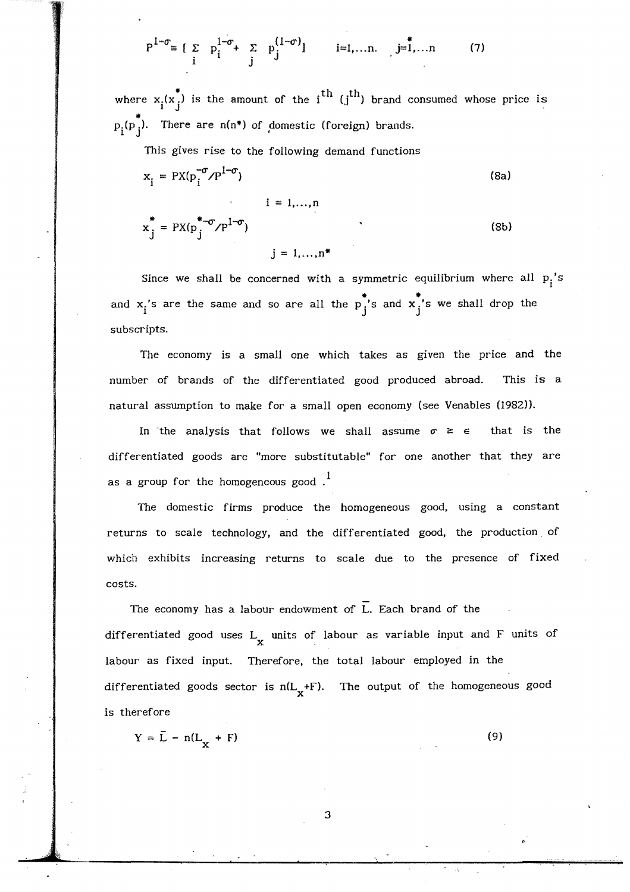$$
P^{1-\sigma} = \left[ \sum_{i} p_i^{1-\sigma} + \sum_{j} p_j^{(1-\sigma)} \right] \qquad i=1,...n, j=1,...n \qquad (7)
$$

where  $x_i(x_j^*)$  is the amount of the i<sup>th</sup> (j<sup>th</sup>) brand consumed whose price is  $p_i(p_j^*).$  There are  $n(n^*)$  of domestic (foreign) brands.

This gives rise to the following demand functions

$$
x_{i} = PX(p_{i}^{-\sigma}/P^{1-\sigma})
$$
\n
$$
x_{j}^{*} = PX(p_{j}^{*-\sigma}/P^{1-\sigma})
$$
\n
$$
j = 1,...,n^{*}
$$
\n(8b)

Since we shall be concerned with a symmetric equilibrium where all  $p_i$ 's and  $x_i$ 's are the same and so are all the  $p_j^*$ 's and  $x_j^*$ 's we shall drop the subscripts.

The economy is a small one which takes as given the price and the number of brands of the differentiated good produced abroad. This is a natural assumption to make for a small open economy (see Venables (1982)).

In the analysis that follows we shall assume  $\sigma \geq \epsilon$  that is the differentiated goods are "more substitutable" for one another that they are as a group for the homogeneous good .  $^{\text{1}}$ 

The domestic firms produce the homogeneous good, using a constant returns to scale technology, and the differentiated good, the production. of which exhibits increasing returns to scale due to the presence of fixed costs.

The economy has a labour endowment of L. Each brand of the differentiated good uses  $L_x$  units of labour as variable input and F units of labour as fixed input. Therefore, the total labour employed in the differentiated goods sector is  $n(L_x + F)$ . The output of the homogeneous good is therefore

$$
Y = \bar{L} - n(L_X + F)
$$
 (9)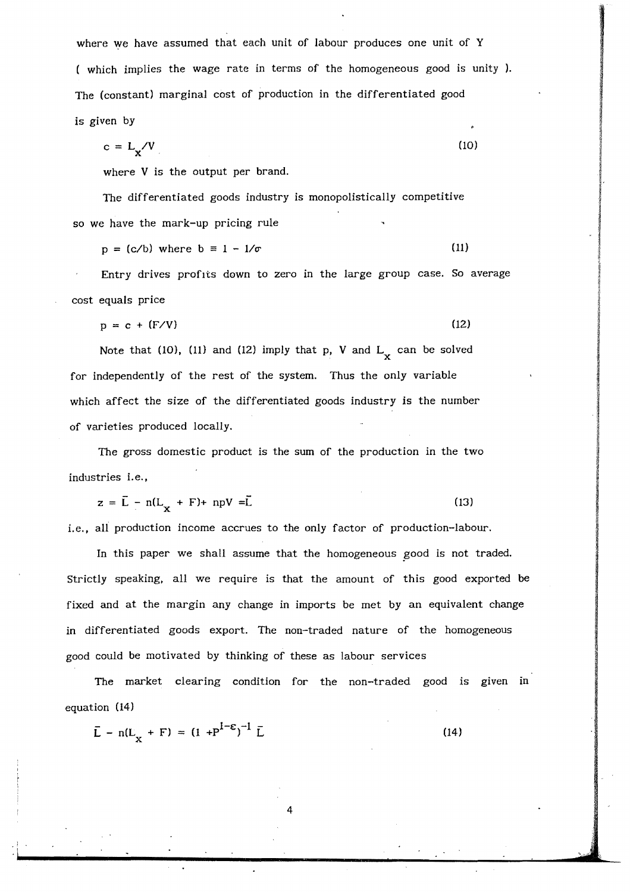where we have assumed that each unit of labour produces one unit of Y ( which implies the wage rate in terms of the homogeneous good is unity). The (constant) marginal cost of production in the differentiated good is given by

$$
c = L_{\mathbf{x}} / V \tag{10}
$$

where V is the output per brand.

The differentiated goods industry is monopolistically competitive so we have the mark-up pricing rule

 $p = (c/b)$  where  $b = 1 - 1/\sigma$  (11)

Entry drives profits down to zero in the large group case. So average cost equals price

 $p = c + (F/V)$  (12)

Note that (10), (11) and (12) imply that p, V and  $L_{\mathbf{x}}$  can be solved for independently of the rest of the system. Thus the only variable which affect the size of the differentiated goods industry is the number of varieties produced locally.

The gross domestic product is the sum of the production in the two industries i.e.,

$$
z = \overline{L} - n(L_x + F) + npV = \overline{L}
$$
 (13)

i.e., all production income accrues to the only factor of production-labour.

In this paper we shall assume that the homogeneous good is not traded. Strictly speaking. all we require is that the amount of this good exported be fixed and at the margin any change in imports be met by an equivalent change in differentiated goods export. The non-traded nature of the homogeneous good could be motivated by thinking of these as labour services

The market clearing condition for the non-traded good is given in equation (14)

$$
\bar{L} - n(L_{\chi} + F) = (1 + P^{1-\epsilon})^{-1} \bar{L}
$$
 (14)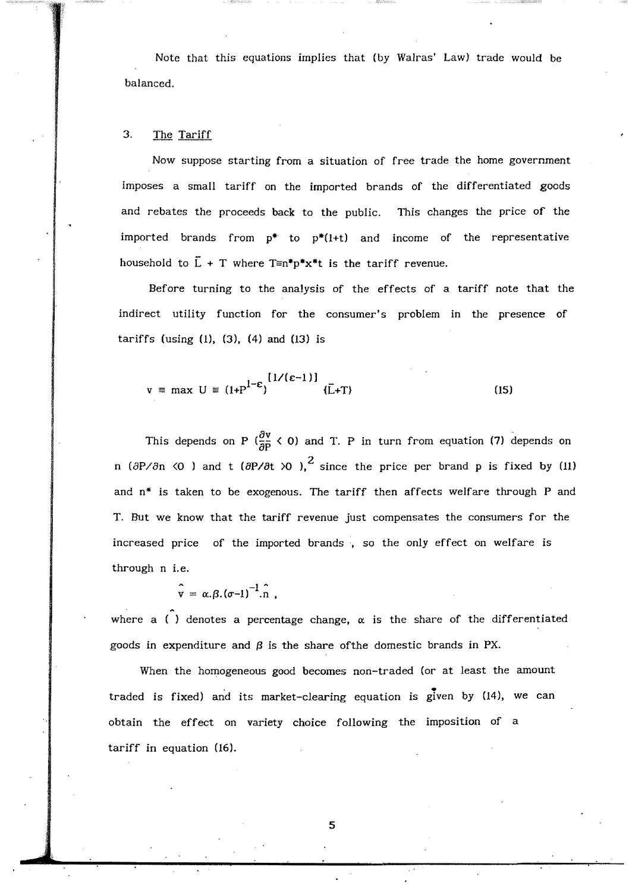Note that this equations implies that (by Walras' Law) trade would be balanced.

#### 3, The Tariff

Now suppose starting from a situation of free trade the home government imposes a small tariff on the imported brands of the differentiated goods and rebates the proceeds back to the public. This changes the price of the imported brands from **p\*** to p\*(I+t) and income of the representative household to  $\overline{L}$  + T where  $T \equiv n^*p^*x^*t$  is the tariff revenue.

Before turning to the analysis of the effects of a tariff note that the indirect utility function for the consumer's problem in the presence of tariffs (using  $(1)$ ,  $(3)$ ,  $(4)$  and  $(13)$  is

$$
v = \max U = (1 + P^{1-\epsilon})^{\{1/(\epsilon-1)\}} \quad \{\bar{L} + T\}
$$
 (15)

This depends on P ( $\frac{\partial v}{\partial P}$  < 0) and T. P in turn from equation (7) depends on n ( $\partial P/\partial n$  <0 ) and t ( $\partial P/\partial t$  >0 ),<sup>2</sup> since the price per brand p is fixed by (11) and  $n^*$  is taken to be exogenous. The tariff then affects welfare through P and T. But we know that the tariff revenue just compensates the consumers for the increased price of the imported brands , so the only effect on welfare is through n i.e.

$$
\hat{\mathbf{v}} = \alpha \beta \cdot (\sigma - 1)^{-1} \cdot \hat{\mathbf{n}} \ ,
$$

where a  $\hat{()}$  denotes a percentage change,  $\alpha$  is the share of the differentiated goods in expenditure and  $\beta$  is the share of the domestic brands in PX.

When the homogeneous good becomes non-traded (or at least the amount traded is fixed) and its market-clearing equation is given by (14), we can obtain the effect on variety choice following the imposition of a tariff in equation (16).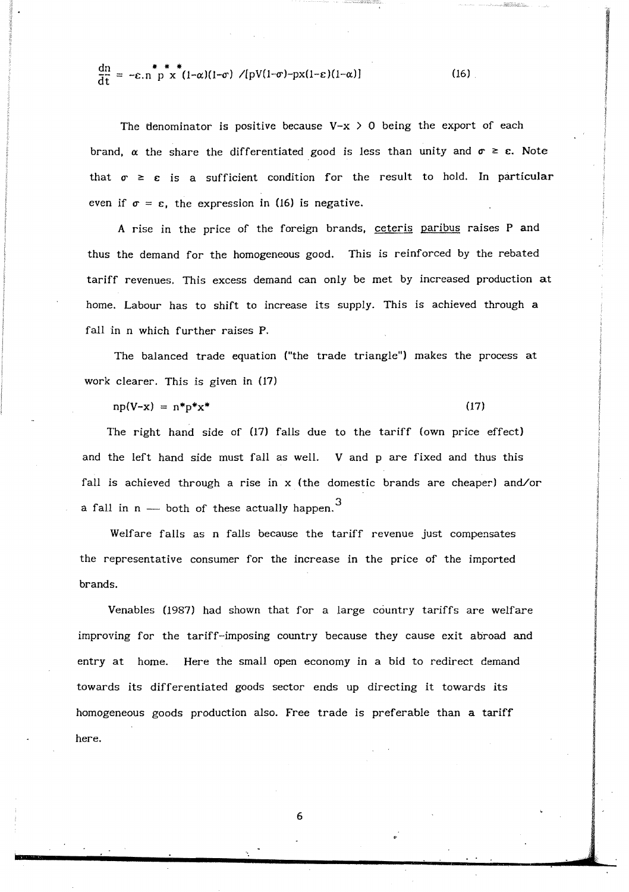$$
\frac{dn}{dt} = -\varepsilon.n \stackrel{\ast}{p} \stackrel{\ast}{x} \stackrel{\ast}{(1-\alpha)(1-\sigma)} /[pV(1-\sigma)-px(1-\varepsilon)(1-\alpha)] \qquad (16)
$$

The denominator is positive because  $V-x > 0$  being the export of each brand,  $\alpha$  the share the differentiated good is less than unity and  $\sigma \geq \epsilon$ . Note that  $\sigma \geq \varepsilon$  is a sufficient condition for the result to hold. In particular even if  $\sigma = \varepsilon$ , the expression in (16) is negative.

A rise in the price of the foreign brands, ceteris paribus raises P and thus the demand for the homogeneous good. This is reinforced by the rebated tariff revenues. This excess demand can only be met by increased production at home. Labour has to shift to increase its supply. This is achieved through a fall in n which further raises P.

The balanced trade equation ("the trade triangle") makes the process at work clearer. This is given in (17)

 $np(V-x) = n*p*x^*$  (17)

The right hand side of (17) falls due to the tariff (own price effect) and the left hand side must fall as welL V and p are fixed and thus this fall is achieved through a rise in  $x$  (the domestic brands are cheaper) and/or a fall in n — both of these actually happen. $^3$ 

Welfare falls as n falls because the tariff revenue just compensates the representative consumer for the increase in the price of the imported brands.

Venables (1987) had shown that for a large country tariffs are welfare improving for the tariff-imposing country because they cause exit abroad and entry at home. Here the small open economy in a bid to redirect demand towards its differentiated goods sector ends up directing it towards its homogeneous goods production also. Free trade is preferable than a tariff here.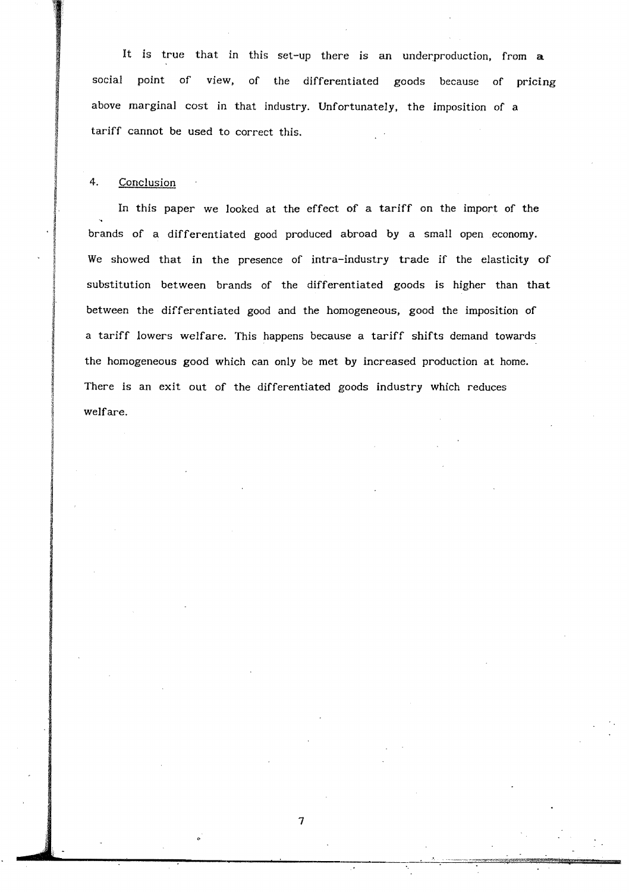It is true that in this set-up there is an underproduction, from a social point of view, of the differentiated goods because of pricing above marginal cost in that industry, Unfortunately, the imposition of a tariff cannot be used to correct this.

#### 4. Conclusion

In this paper we looked at the effect of a tariff on the import of the brands of a differentiated good produced abroad by a small open economy. We showed that in the presence of intra-industry trade if the elasticity of substitution between brands of the differentiated goods is higher than that between the differentiated good and the homogeneous, good the imposition of a tariff lowers welfare. This happens because a tariff shifts demand towards the homogeneous good which can only be met by increased production at home. There is an exit out of the differentiated goods industry which reduces welfare.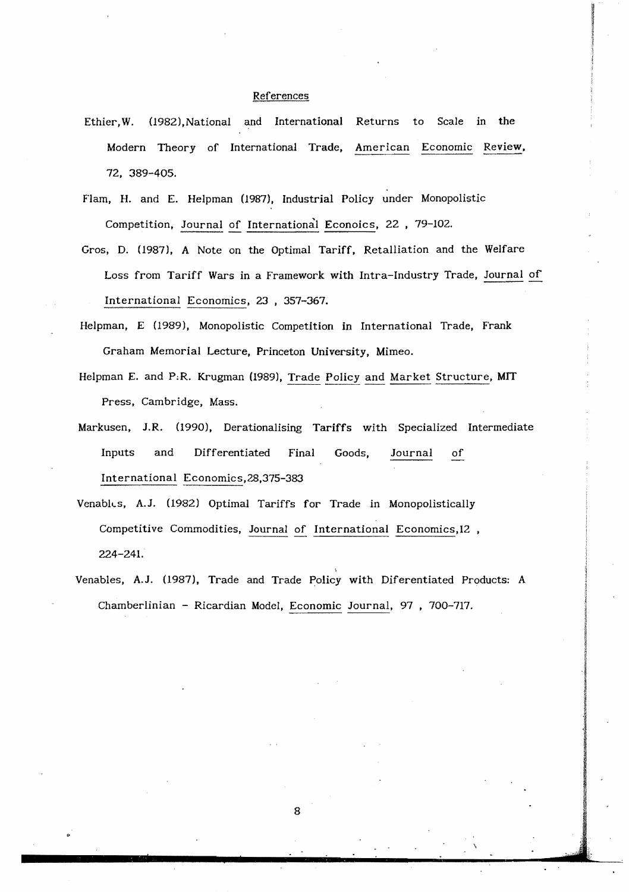#### References

- Ethier, W. (1982),National and International Returns to Scale in the Modern Theory of International Trade. American Economic Review. 72. 389-405.
- Flam. H. and E. Helpman (1987), Industrial Policy under Monopolistic Competition, Journal of International Econoics, 22 , 79-102.
- Gros, D. (1987), A Note on the Optimal Tariff. Retalliation and the Welfare Loss from Tariff Wars in a Framework with Intra-Industry Trade, Journal of International Economics, 23 , 357-367.
- Helpman, E (1989), Monopolistic Competition in International Trade, Frank Graham Memorial Lecture, Princeton University, Mimeo.
- Helpman E. and P.R. Krugman (1989), Trade Policy and Market Structure, MIT Press, Cambridge, Mass.
- Markusen, J.R. (1990), Derationalising Tariffs with Specialized Intermediate Inputs and Differentiated Final Goods, Journal of International Economics,28,375-383
- VenablLs, A.J. (1982) Optimal Tariffs for Trade in Monopolistically Competitive Commodities, Journal of International Economics,12 , 224-241.
- Venables, A.J. (1987), Trade and Trade Policy with Diferentiated Products: A Chamberlinian - Ricardian Model, Economic Journal, 97 , 700-717.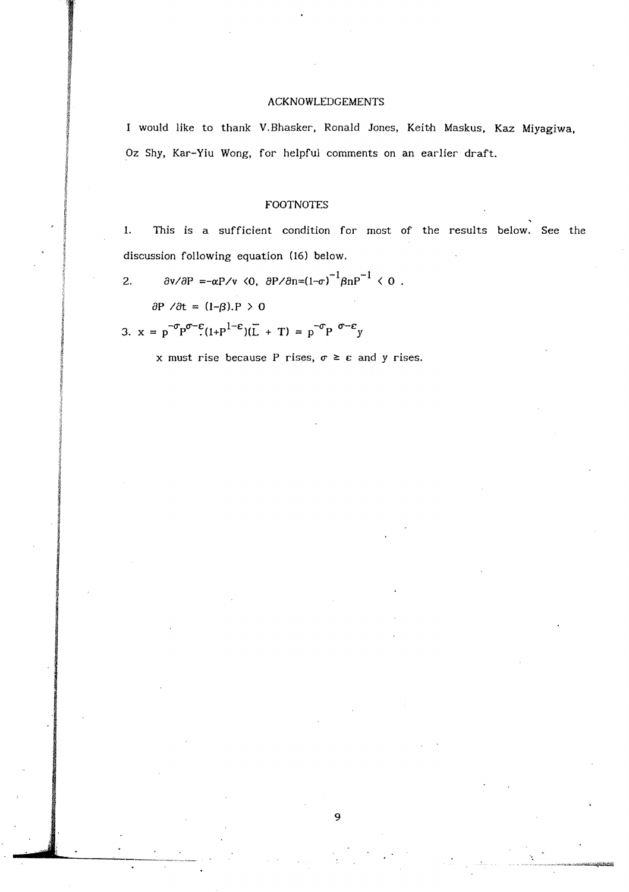#### ACKNOWLEDGEMENTS

I would like to thank V.Bhasker. Ronald Jones, Keith Maskus. Kaz Miyagiwa, Oz Shy, Kar-Yiu Wong, for helpful comments on an earlier draft.

#### FOOTNOTES

1. This is a sufficient condition for most of the results below. See the discussion following equation (16) below.

2.  $\partial v / \partial P = -\alpha P / v \langle 0, \partial P / \partial n = (1-\sigma)^{-1} \beta n P^{-1} \langle 0$ .

 $\partial P / \partial t = (1-\beta).P > 0$ 

3. 
$$
x = p^{-\sigma} p^{\sigma-\epsilon} (1 + p^{1-\epsilon}) (\overline{L} + T) = p^{-\sigma} p^{\sigma-\epsilon} y
$$

x must rise because P rises,  $\sigma \geq \varepsilon$  and y rises.